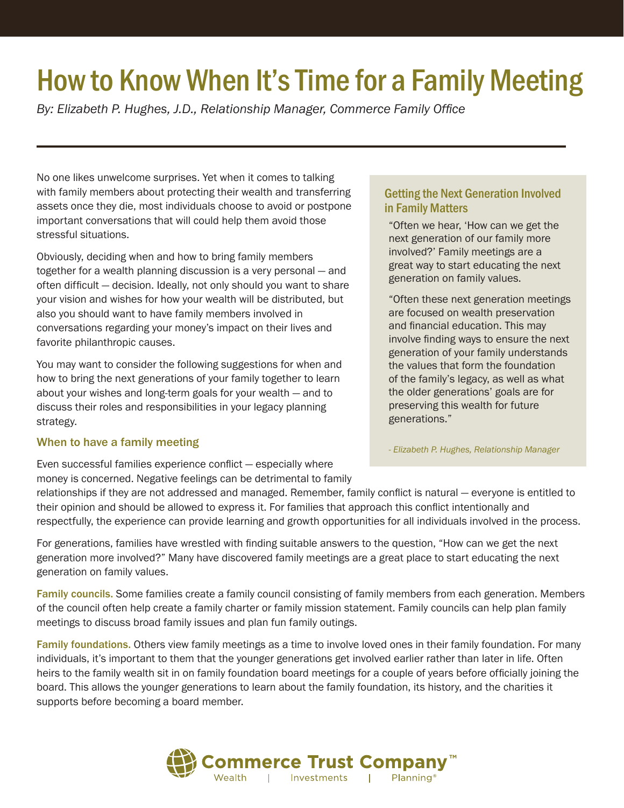# How to Know When It's Time for a Family Meeting

*By: Elizabeth P. Hughes, J.D., Relationship Manager, Commerce Family Office*

No one likes unwelcome surprises. Yet when it comes to talking with family members about protecting their wealth and transferring assets once they die, most individuals choose to avoid or postpone important conversations that will could help them avoid those stressful situations.

Obviously, deciding when and how to bring family members together for a wealth planning discussion is a very personal — and often difficult — decision. Ideally, not only should you want to share your vision and wishes for how your wealth will be distributed, but also you should want to have family members involved in conversations regarding your money's impact on their lives and favorite philanthropic causes.

You may want to consider the following suggestions for when and how to bring the next generations of your family together to learn about your wishes and long-term goals for your wealth — and to discuss their roles and responsibilities in your legacy planning strategy.

#### When to have a family meeting

Even successful families experience conflict — especially where money is concerned. Negative feelings can be detrimental to family

### in Family Matters "Often we hear, 'How can we get the

Getting the Next Generation Involved

next generation of our family more involved?' Family meetings are a great way to start educating the next generation on family values.

"Often these next generation meetings are focused on wealth preservation and financial education. This may involve finding ways to ensure the next generation of your family understands the values that form the foundation of the family's legacy, as well as what the older generations' goals are for preserving this wealth for future generations."

- *Elizabeth P. Hughes, Relationship Manager* 

relationships if they are not addressed and managed. Remember, family conflict is natural — everyone is entitled to their opinion and should be allowed to express it. For families that approach this conflict intentionally and respectfully, the experience can provide learning and growth opportunities for all individuals involved in the process.

For generations, families have wrestled with finding suitable answers to the question, "How can we get the next generation more involved?" Many have discovered family meetings are a great place to start educating the next generation on family values.

Family councils. Some families create a family council consisting of family members from each generation. Members of the council often help create a family charter or family mission statement. Family councils can help plan family meetings to discuss broad family issues and plan fun family outings.

Family foundations. Others view family meetings as a time to involve loved ones in their family foundation. For many individuals, it's important to them that the younger generations get involved earlier rather than later in life. Often heirs to the family wealth sit in on family foundation board meetings for a couple of years before officially joining the board. This allows the younger generations to learn about the family foundation, its history, and the charities it supports before becoming a board member.

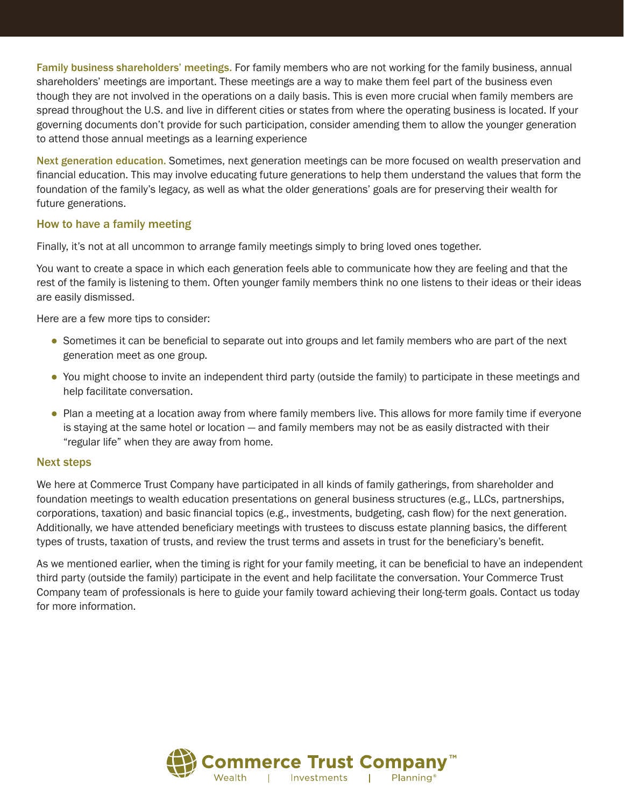Family business shareholders' meetings. For family members who are not working for the family business, annual shareholders' meetings are important. These meetings are a way to make them feel part of the business even though they are not involved in the operations on a daily basis. This is even more crucial when family members are spread throughout the U.S. and live in different cities or states from where the operating business is located. If your governing documents don't provide for such participation, consider amending them to allow the younger generation to attend those annual meetings as a learning experience

Next generation education. Sometimes, next generation meetings can be more focused on wealth preservation and financial education. This may involve educating future generations to help them understand the values that form the foundation of the family's legacy, as well as what the older generations' goals are for preserving their wealth for future generations.

#### How to have a family meeting

Finally, it's not at all uncommon to arrange family meetings simply to bring loved ones together.

You want to create a space in which each generation feels able to communicate how they are feeling and that the rest of the family is listening to them. Often younger family members think no one listens to their ideas or their ideas are easily dismissed.

Here are a few more tips to consider:

- Sometimes it can be beneficial to separate out into groups and let family members who are part of the next generation meet as one group.
- You might choose to invite an independent third party (outside the family) to participate in these meetings and help facilitate conversation.
- Plan a meeting at a location away from where family members live. This allows for more family time if everyone is staying at the same hotel or location — and family members may not be as easily distracted with their "regular life" when they are away from home.

#### Next steps

We here at Commerce Trust Company have participated in all kinds of family gatherings, from shareholder and foundation meetings to wealth education presentations on general business structures (e.g., LLCs, partnerships, corporations, taxation) and basic financial topics (e.g., investments, budgeting, cash flow) for the next generation. Additionally, we have attended beneficiary meetings with trustees to discuss estate planning basics, the different types of trusts, taxation of trusts, and review the trust terms and assets in trust for the beneficiary's benefit.

As we mentioned earlier, when the timing is right for your family meeting, it can be beneficial to have an independent third party (outside the family) participate in the event and help facilitate the conversation. Your Commerce Trust Company team of professionals is here to guide your family toward achieving their long-term goals. Contact us today for more information.

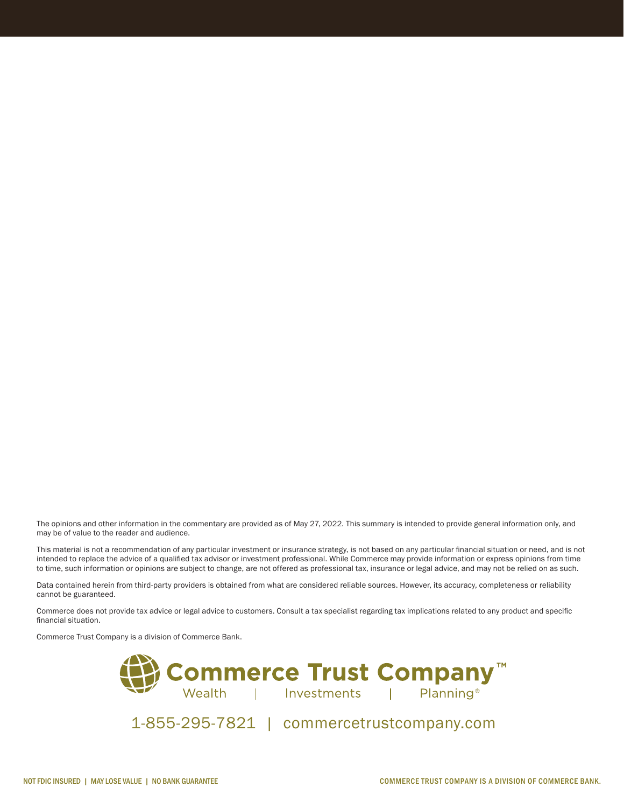The opinions and other information in the commentary are provided as of May 27, 2022. This summary is intended to provide general information only, and may be of value to the reader and audience.

This material is not a recommendation of any particular investment or insurance strategy, is not based on any particular financial situation or need, and is not intended to replace the advice of a qualified tax advisor or investment professional. While Commerce may provide information or express opinions from time to time, such information or opinions are subject to change, are not offered as professional tax, insurance or legal advice, and may not be relied on as such.

Data contained herein from third-party providers is obtained from what are considered reliable sources. However, its accuracy, completeness or reliability cannot be guaranteed.

Commerce does not provide tax advice or legal advice to customers. Consult a tax specialist regarding tax implications related to any product and specific financial situation.

Commerce Trust Company is a division of Commerce Bank.



1-855-295-7821 | commercetrustcompany.com